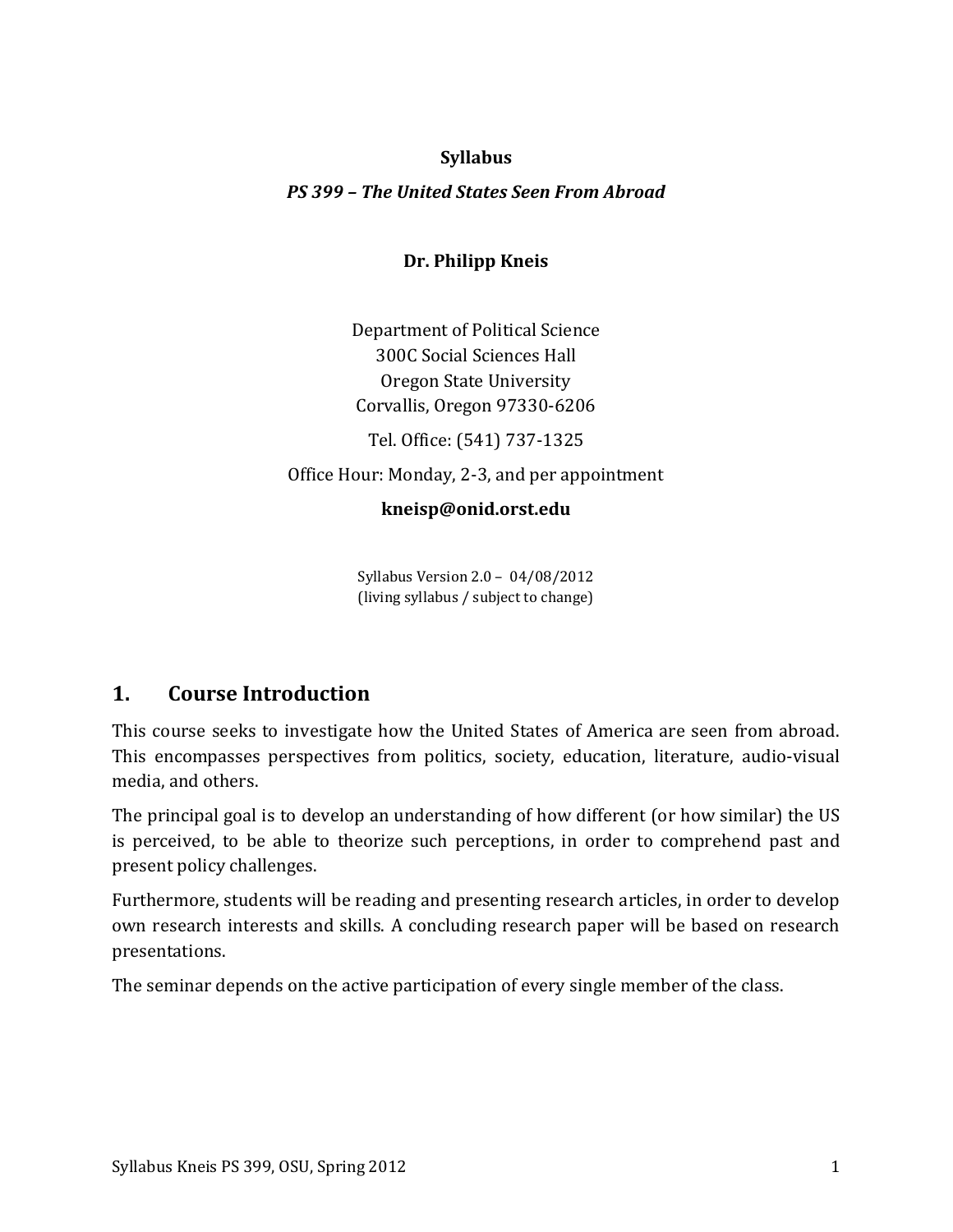## **Syllabus**

## *PS 399 – The United States Seen From Abroad*

## **Dr. Philipp Kneis**

Department of Political Science 300C Social Sciences Hall Oregon State University Corvallis, Oregon 97330-6206

Tel. Office: (541) 737-1325

Office Hour: Monday, 2-3, and per appointment

## **kneisp@onid.orst.edu**

Syllabus Version 2.0 – 04/08/2012 (living syllabus / subject to change)

# **1. Course Introduction**

This course seeks to investigate how the United States of America are seen from abroad. This encompasses perspectives from politics, society, education, literature, audio-visual media, and others.

The principal goal is to develop an understanding of how different (or how similar) the US is perceived, to be able to theorize such perceptions, in order to comprehend past and present policy challenges.

Furthermore, students will be reading and presenting research articles, in order to develop own research interests and skills. A concluding research paper will be based on research presentations.

The seminar depends on the active participation of every single member of the class.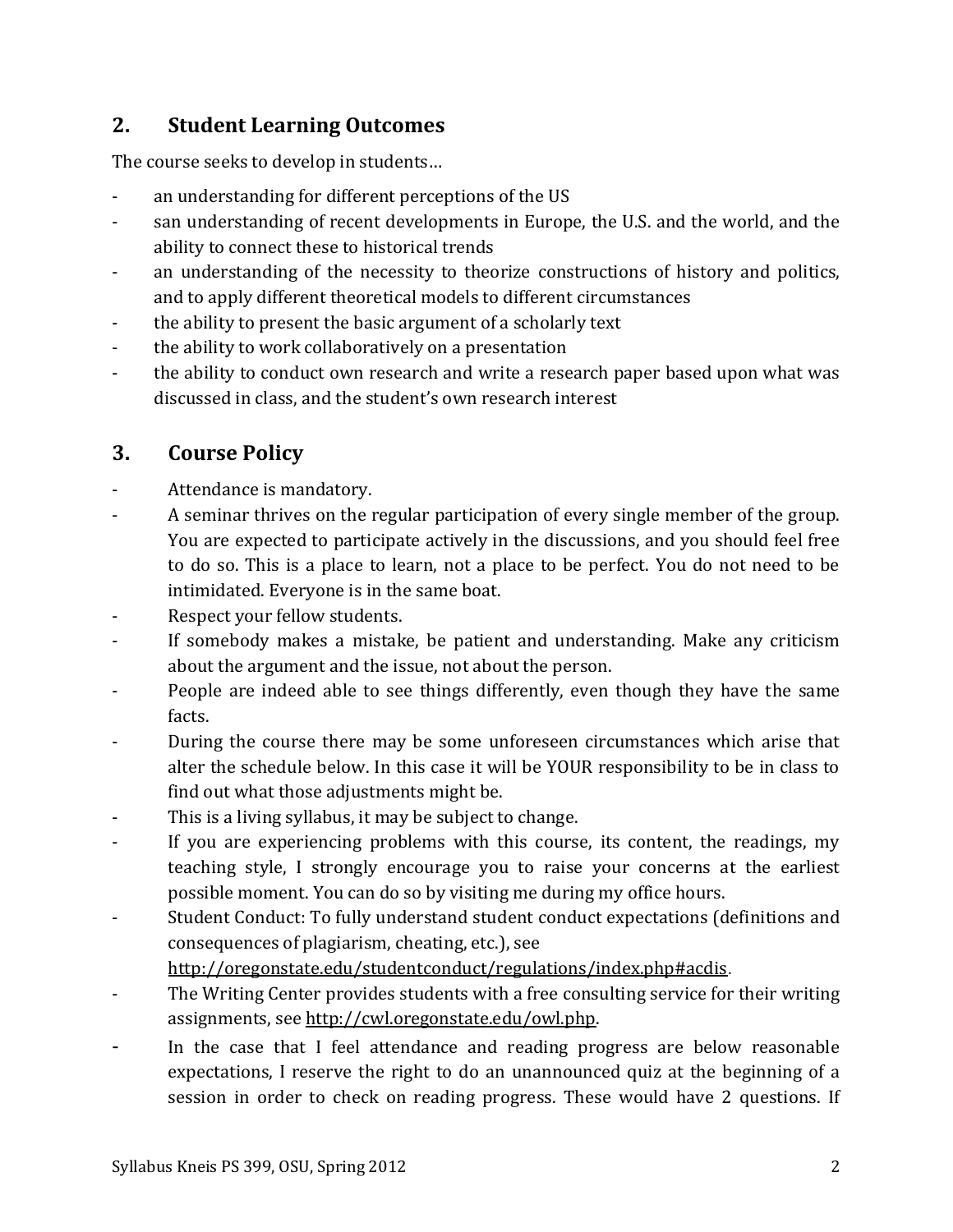# **2. Student Learning Outcomes**

The course seeks to develop in students…

- an understanding for different perceptions of the US
- san understanding of recent developments in Europe, the U.S. and the world, and the ability to connect these to historical trends
- an understanding of the necessity to theorize constructions of history and politics, and to apply different theoretical models to different circumstances
- the ability to present the basic argument of a scholarly text
- the ability to work collaboratively on a presentation
- the ability to conduct own research and write a research paper based upon what was discussed in class, and the student's own research interest

# **3. Course Policy**

- Attendance is mandatory.
- A seminar thrives on the regular participation of every single member of the group. You are expected to participate actively in the discussions, and you should feel free to do so. This is a place to learn, not a place to be perfect. You do not need to be intimidated. Everyone is in the same boat.
- Respect your fellow students.
- If somebody makes a mistake, be patient and understanding. Make any criticism about the argument and the issue, not about the person.
- People are indeed able to see things differently, even though they have the same facts.
- During the course there may be some unforeseen circumstances which arise that alter the schedule below. In this case it will be YOUR responsibility to be in class to find out what those adjustments might be.
- This is a living syllabus, it may be subject to change.
- If you are experiencing problems with this course, its content, the readings, my teaching style, I strongly encourage you to raise your concerns at the earliest possible moment. You can do so by visiting me during my office hours.
- Student Conduct: To fully understand student conduct expectations (definitions and consequences of plagiarism, cheating, etc.), see

<http://oregonstate.edu/studentconduct/regulations/index.php#acdis>.

- The Writing Center provides students with a free consulting service for their writing assignments, see [http://cwl.oregonstate.edu/owl.php.](http://cwl.oregonstate.edu/owl.php)
- In the case that I feel attendance and reading progress are below reasonable expectations, I reserve the right to do an unannounced quiz at the beginning of a session in order to check on reading progress. These would have 2 questions. If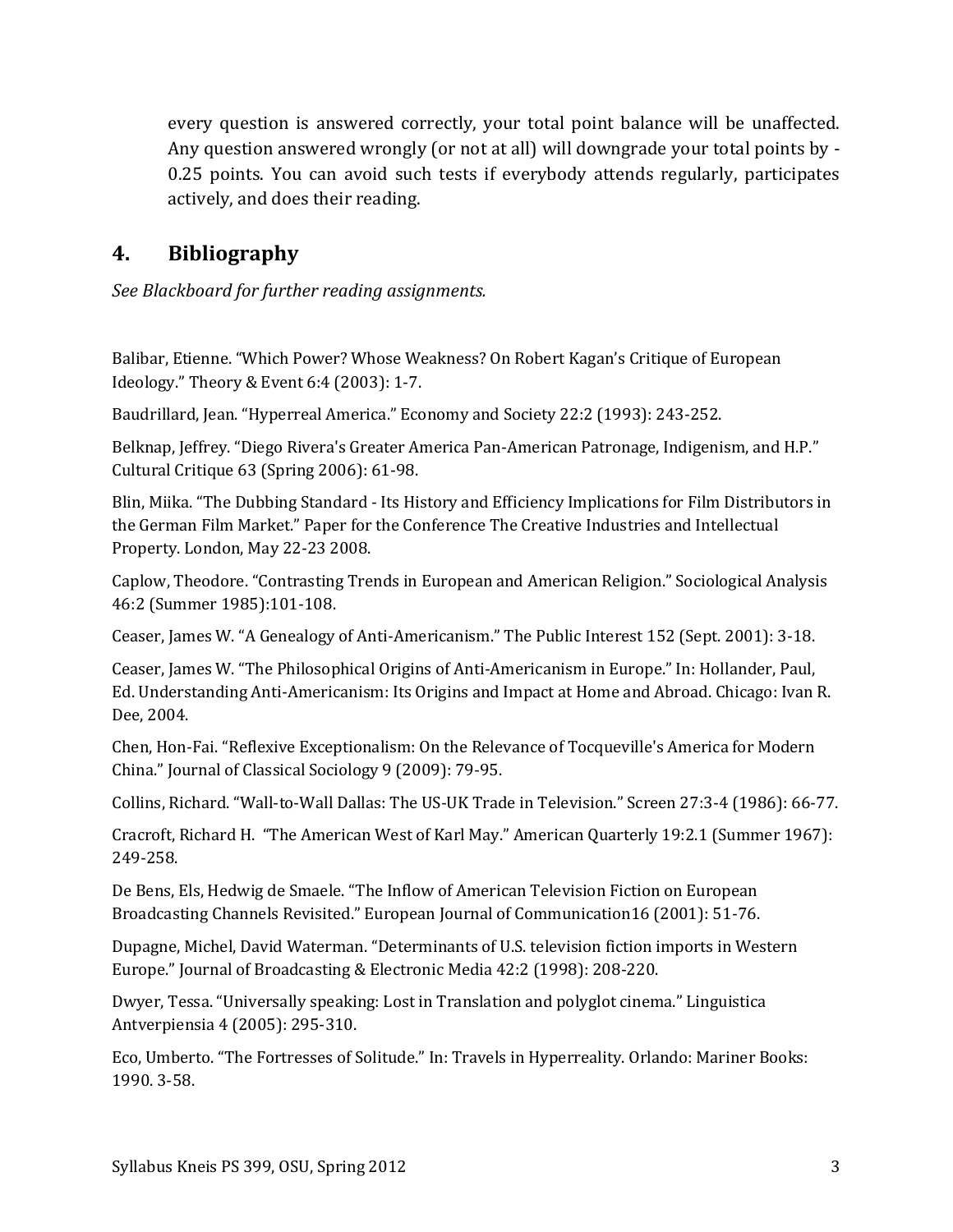every question is answered correctly, your total point balance will be unaffected. Any question answered wrongly (or not at all) will downgrade your total points by - 0.25 points. You can avoid such tests if everybody attends regularly, participates actively, and does their reading.

# **4. Bibliography**

*See Blackboard for further reading assignments.*

Balibar, Etienne. "Which Power? Whose Weakness? On Robert Kagan's Critique of European Ideology." Theory & Event 6:4 (2003): 1-7.

Baudrillard, Jean. "Hyperreal America." Economy and Society 22:2 (1993): 243-252.

Belknap, Jeffrey. "Diego Rivera's Greater America Pan-American Patronage, Indigenism, and H.P." Cultural Critique 63 (Spring 2006): 61-98.

Blin, Miika. "The Dubbing Standard - Its History and Efficiency Implications for Film Distributors in the German Film Market." Paper for the Conference The Creative Industries and Intellectual Property. London, May 22-23 2008.

Caplow, Theodore. "Contrasting Trends in European and American Religion." Sociological Analysis 46:2 (Summer 1985):101-108.

Ceaser, James W. "A Genealogy of Anti-Americanism." The Public Interest 152 (Sept. 2001): 3-18.

Ceaser, James W. "The Philosophical Origins of Anti-Americanism in Europe." In: Hollander, Paul, Ed. Understanding Anti-Americanism: Its Origins and Impact at Home and Abroad. Chicago: Ivan R. Dee, 2004.

Chen, Hon-Fai. "Reflexive Exceptionalism: On the Relevance of Tocqueville's America for Modern China." Journal of Classical Sociology 9 (2009): 79-95.

Collins, Richard. "Wall-to-Wall Dallas: The US-UK Trade in Television." Screen 27:3-4 (1986): 66-77.

Cracroft, Richard H. "The American West of Karl May." American Quarterly 19:2.1 (Summer 1967): 249-258.

De Bens, Els, Hedwig de Smaele. "The Inflow of American Television Fiction on European Broadcasting Channels Revisited." European Journal of Communication16 (2001): 51-76.

Dupagne, Michel, David Waterman. "Determinants of U.S. television fiction imports in Western Europe." Journal of Broadcasting & Electronic Media 42:2 (1998): 208-220.

Dwyer, Tessa. "Universally speaking: Lost in Translation and polyglot cinema." Linguistica Antverpiensia 4 (2005): 295-310.

Eco, Umberto. "The Fortresses of Solitude." In: Travels in Hyperreality. Orlando: Mariner Books: 1990. 3-58.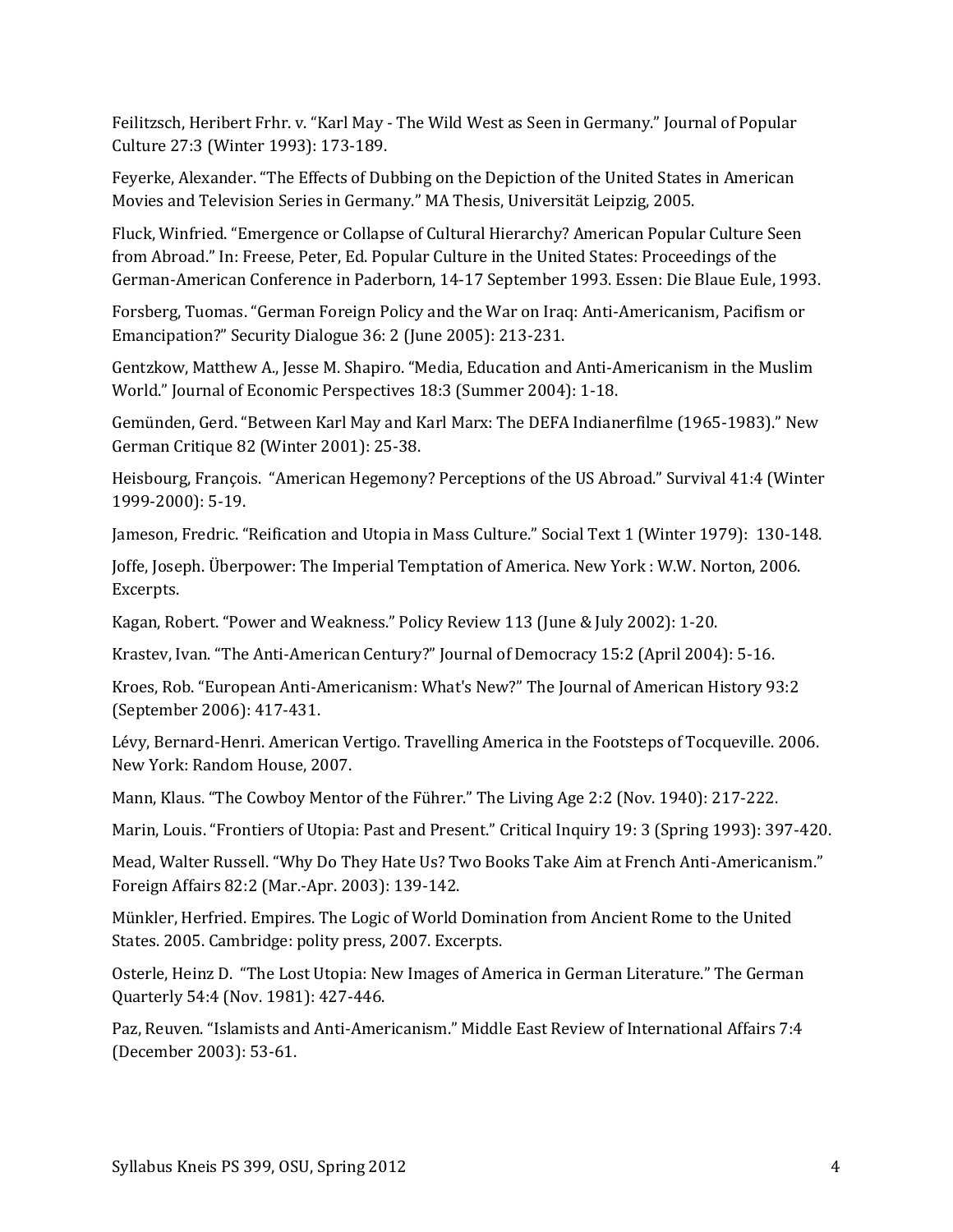Feilitzsch, Heribert Frhr. v. "Karl May - The Wild West as Seen in Germany." Journal of Popular Culture 27:3 (Winter 1993): 173-189.

Feyerke, Alexander. "The Effects of Dubbing on the Depiction of the United States in American Movies and Television Series in Germany." MA Thesis, Universität Leipzig, 2005.

Fluck, Winfried. "Emergence or Collapse of Cultural Hierarchy? American Popular Culture Seen from Abroad." In: Freese, Peter, Ed. Popular Culture in the United States: Proceedings of the German-American Conference in Paderborn, 14-17 September 1993. Essen: Die Blaue Eule, 1993.

Forsberg, Tuomas. "German Foreign Policy and the War on Iraq: Anti-Americanism, Pacifism or Emancipation?" Security Dialogue 36: 2 (June 2005): 213-231.

Gentzkow, Matthew A., Jesse M. Shapiro. "Media, Education and Anti-Americanism in the Muslim World." Journal of Economic Perspectives 18:3 (Summer 2004): 1-18.

Gemünden, Gerd. "Between Karl May and Karl Marx: The DEFA Indianerfilme (1965-1983)." New German Critique 82 (Winter 2001): 25-38.

Heisbourg, François. "American Hegemony? Perceptions of the US Abroad." Survival 41:4 (Winter 1999-2000): 5-19.

Jameson, Fredric. "Reification and Utopia in Mass Culture." Social Text 1 (Winter 1979): 130-148.

Joffe, Joseph. Überpower: The Imperial Temptation of America. New York : W.W. Norton, 2006. Excerpts.

Kagan, Robert. "Power and Weakness." Policy Review 113 (June & July 2002): 1-20.

Krastev, Ivan. "The Anti-American Century?" Journal of Democracy 15:2 (April 2004): 5-16.

Kroes, Rob. "European Anti-Americanism: What's New?" The Journal of American History 93:2 (September 2006): 417-431.

Lévy, Bernard-Henri. American Vertigo. Travelling America in the Footsteps of Tocqueville. 2006. New York: Random House, 2007.

Mann, Klaus. "The Cowboy Mentor of the Führer." The Living Age 2:2 (Nov. 1940): 217-222.

Marin, Louis. "Frontiers of Utopia: Past and Present." Critical Inquiry 19: 3 (Spring 1993): 397-420.

Mead, Walter Russell. "Why Do They Hate Us? Two Books Take Aim at French Anti-Americanism." Foreign Affairs 82:2 (Mar.-Apr. 2003): 139-142.

Münkler, Herfried. Empires. The Logic of World Domination from Ancient Rome to the United States. 2005. Cambridge: polity press, 2007. Excerpts.

Osterle, Heinz D. "The Lost Utopia: New Images of America in German Literature." The German Quarterly 54:4 (Nov. 1981): 427-446.

Paz, Reuven. "Islamists and Anti-Americanism." Middle East Review of International Affairs 7:4 (December 2003): 53-61.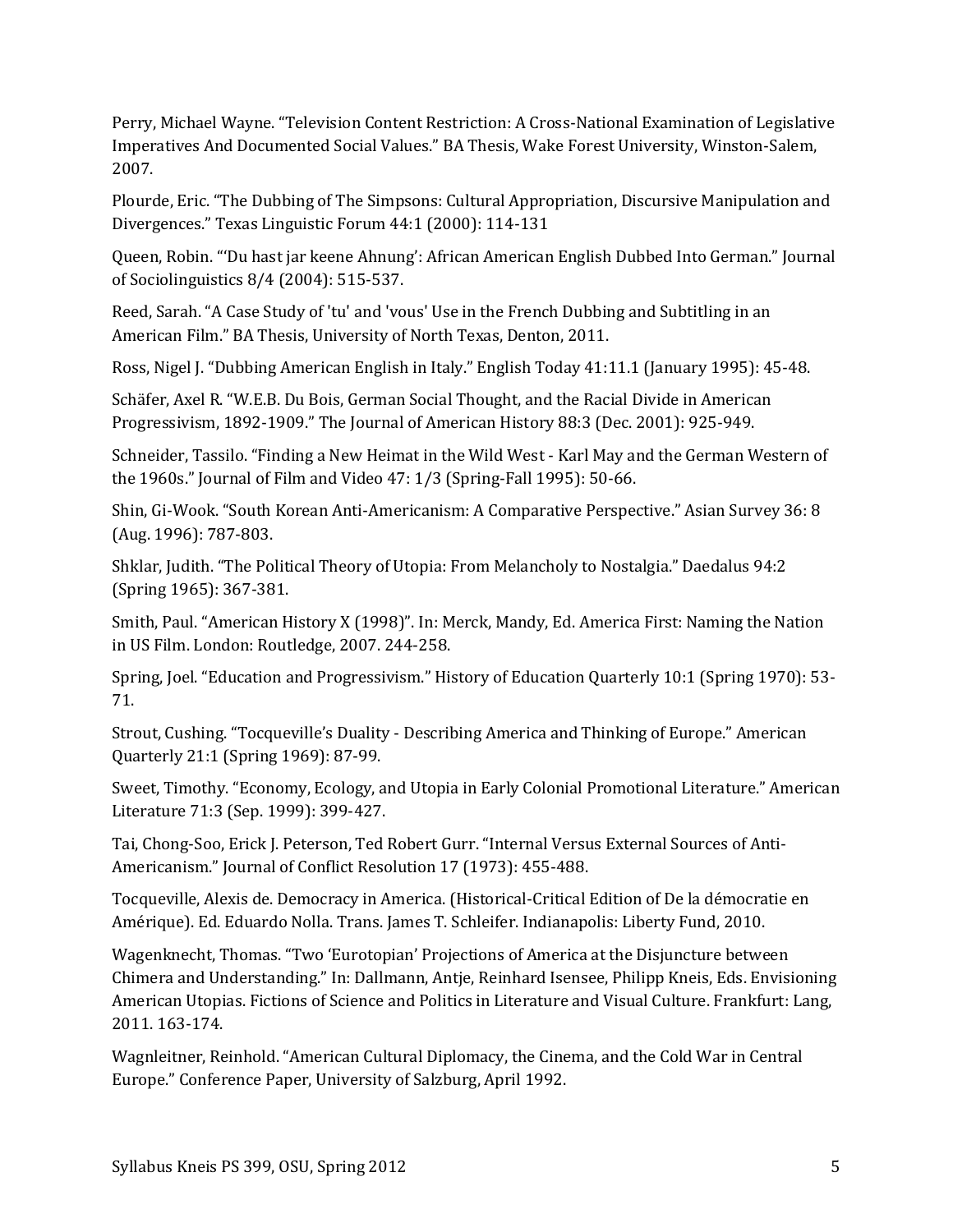Perry, Michael Wayne. "Television Content Restriction: A Cross-National Examination of Legislative Imperatives And Documented Social Values." BA Thesis, Wake Forest University, Winston-Salem, 2007.

Plourde, Eric. "The Dubbing of The Simpsons: Cultural Appropriation, Discursive Manipulation and Divergences." Texas Linguistic Forum 44:1 (2000): 114-131

Queen, Robin. "'Du hast jar keene Ahnung': African American English Dubbed Into German." Journal of Sociolinguistics 8/4 (2004): 515-537.

Reed, Sarah. "A Case Study of 'tu' and 'vous' Use in the French Dubbing and Subtitling in an American Film." BA Thesis, University of North Texas, Denton, 2011.

Ross, Nigel J. "Dubbing American English in Italy." English Today 41:11.1 (January 1995): 45-48.

Schäfer, Axel R. "W.E.B. Du Bois, German Social Thought, and the Racial Divide in American Progressivism, 1892-1909." The Journal of American History 88:3 (Dec. 2001): 925-949.

Schneider, Tassilo. "Finding a New Heimat in the Wild West - Karl May and the German Western of the 1960s." Journal of Film and Video 47: 1/3 (Spring-Fall 1995): 50-66.

Shin, Gi-Wook. "South Korean Anti-Americanism: A Comparative Perspective." Asian Survey 36: 8 (Aug. 1996): 787-803.

Shklar, Judith. "The Political Theory of Utopia: From Melancholy to Nostalgia." Daedalus 94:2 (Spring 1965): 367-381.

Smith, Paul. "American History X (1998)". In: Merck, Mandy, Ed. America First: Naming the Nation in US Film. London: Routledge, 2007. 244-258.

Spring, Joel. "Education and Progressivism." History of Education Quarterly 10:1 (Spring 1970): 53- 71.

Strout, Cushing. "Tocqueville's Duality - Describing America and Thinking of Europe." American Quarterly 21:1 (Spring 1969): 87-99.

Sweet, Timothy. "Economy, Ecology, and Utopia in Early Colonial Promotional Literature." American Literature 71:3 (Sep. 1999): 399-427.

Tai, Chong-Soo, Erick J. Peterson, Ted Robert Gurr. "Internal Versus External Sources of Anti-Americanism." Journal of Conflict Resolution 17 (1973): 455-488.

Tocqueville, Alexis de. Democracy in America. (Historical-Critical Edition of De la démocratie en Amérique). Ed. Eduardo Nolla. Trans. James T. Schleifer. Indianapolis: Liberty Fund, 2010.

Wagenknecht, Thomas. "Two 'Eurotopian' Projections of America at the Disjuncture between Chimera and Understanding." In: Dallmann, Antje, Reinhard Isensee, Philipp Kneis, Eds. Envisioning American Utopias. Fictions of Science and Politics in Literature and Visual Culture. Frankfurt: Lang, 2011. 163-174.

Wagnleitner, Reinhold. "American Cultural Diplomacy, the Cinema, and the Cold War in Central Europe." Conference Paper, University of Salzburg, April 1992.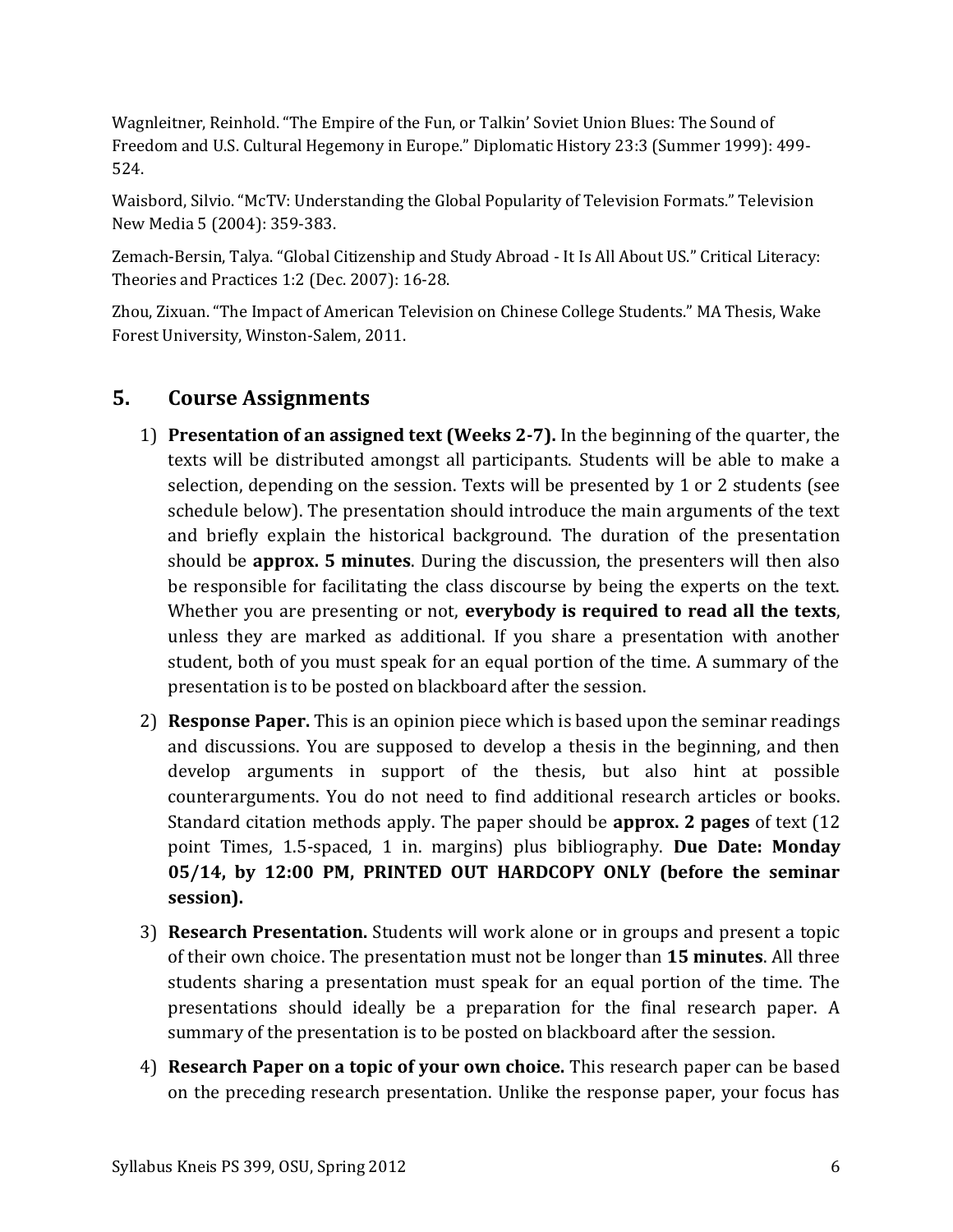Wagnleitner, Reinhold. "The Empire of the Fun, or Talkin' Soviet Union Blues: The Sound of Freedom and U.S. Cultural Hegemony in Europe." Diplomatic History 23:3 (Summer 1999): 499- 524.

Waisbord, Silvio. "McTV: Understanding the Global Popularity of Television Formats." Television New Media 5 (2004): 359-383.

Zemach-Bersin, Talya. "Global Citizenship and Study Abroad - It Is All About US." Critical Literacy: Theories and Practices 1:2 (Dec. 2007): 16-28.

Zhou, Zixuan. "The Impact of American Television on Chinese College Students." MA Thesis, Wake Forest University, Winston-Salem, 2011.

# **5. Course Assignments**

- 1) **Presentation of an assigned text (Weeks 2-7).** In the beginning of the quarter, the texts will be distributed amongst all participants. Students will be able to make a selection, depending on the session. Texts will be presented by 1 or 2 students (see schedule below). The presentation should introduce the main arguments of the text and briefly explain the historical background. The duration of the presentation should be **approx. 5 minutes**. During the discussion, the presenters will then also be responsible for facilitating the class discourse by being the experts on the text. Whether you are presenting or not, **everybody is required to read all the texts**, unless they are marked as additional. If you share a presentation with another student, both of you must speak for an equal portion of the time. A summary of the presentation is to be posted on blackboard after the session.
- 2) **Response Paper.** This is an opinion piece which is based upon the seminar readings and discussions. You are supposed to develop a thesis in the beginning, and then develop arguments in support of the thesis, but also hint at possible counterarguments. You do not need to find additional research articles or books. Standard citation methods apply. The paper should be **approx. 2 pages** of text (12 point Times, 1.5-spaced, 1 in. margins) plus bibliography. **Due Date: Monday 05/14, by 12:00 PM, PRINTED OUT HARDCOPY ONLY (before the seminar session).**
- 3) **Research Presentation.** Students will work alone or in groups and present a topic of their own choice. The presentation must not be longer than **15 minutes**. All three students sharing a presentation must speak for an equal portion of the time. The presentations should ideally be a preparation for the final research paper. A summary of the presentation is to be posted on blackboard after the session.
- 4) **Research Paper on a topic of your own choice.** This research paper can be based on the preceding research presentation. Unlike the response paper, your focus has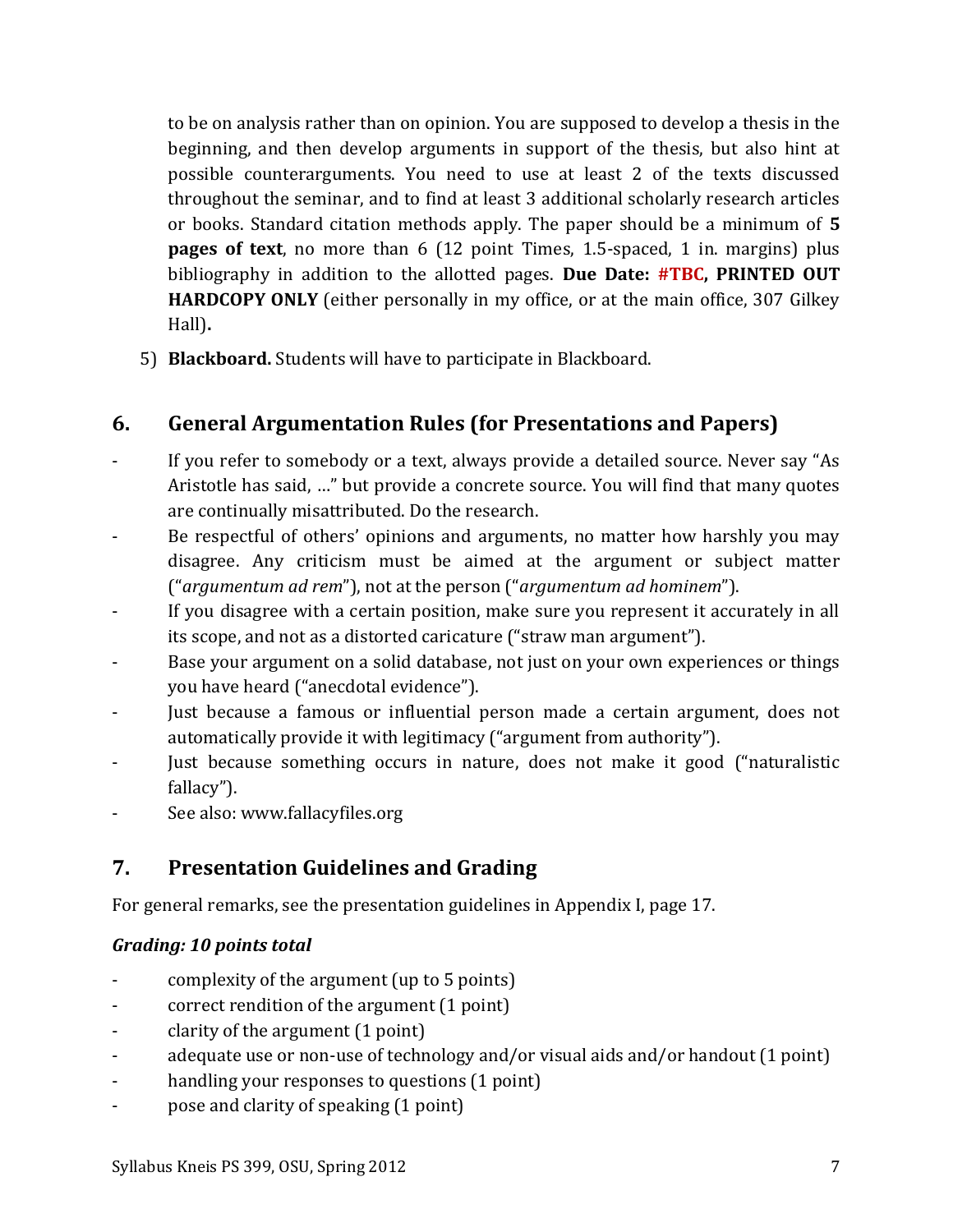to be on analysis rather than on opinion. You are supposed to develop a thesis in the beginning, and then develop arguments in support of the thesis, but also hint at possible counterarguments. You need to use at least 2 of the texts discussed throughout the seminar, and to find at least 3 additional scholarly research articles or books. Standard citation methods apply. The paper should be a minimum of **5 pages of text**, no more than 6 (12 point Times, 1.5-spaced, 1 in. margins) plus bibliography in addition to the allotted pages. **Due Date: #TBC, PRINTED OUT HARDCOPY ONLY** (either personally in my office, or at the main office, 307 Gilkey Hall)**.**

5) **Blackboard.** Students will have to participate in Blackboard.

# **6. General Argumentation Rules (for Presentations and Papers)**

- If you refer to somebody or a text, always provide a detailed source. Never say "As Aristotle has said, …" but provide a concrete source. You will find that many quotes are continually misattributed. Do the research.
- Be respectful of others' opinions and arguments, no matter how harshly you may disagree. Any criticism must be aimed at the argument or subject matter ("*argumentum ad rem*"), not at the person ("*argumentum ad hominem*").
- If you disagree with a certain position, make sure you represent it accurately in all its scope, and not as a distorted caricature ("straw man argument").
- Base your argument on a solid database, not just on your own experiences or things you have heard ("anecdotal evidence").
- Just because a famous or influential person made a certain argument, does not automatically provide it with legitimacy ("argument from authority").
- Just because something occurs in nature, does not make it good ("naturalistic fallacy").
- See also: www.fallacyfiles.org

# **7. Presentation Guidelines and Grading**

For general remarks, see the presentation guidelines in Appendix I, page [17.](#page-16-0)

## *Grading: 10 points total*

- complexity of the argument (up to 5 points)
- correct rendition of the argument (1 point)
- clarity of the argument (1 point)
- adequate use or non-use of technology and/or visual aids and/or handout (1 point)
- handling your responses to questions (1 point)
- pose and clarity of speaking (1 point)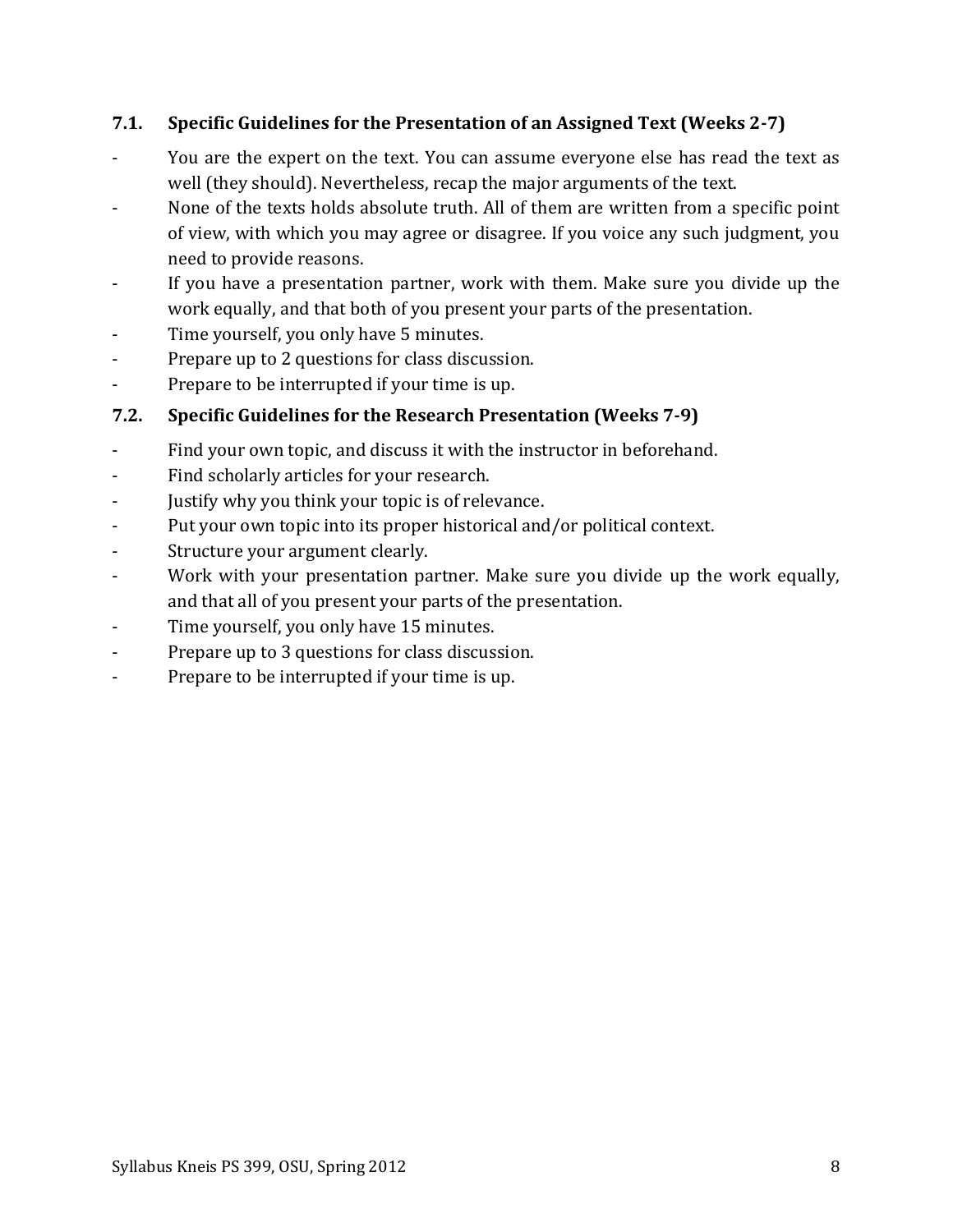## **7.1. Specific Guidelines for the Presentation of an Assigned Text (Weeks 2-7)**

- You are the expert on the text. You can assume everyone else has read the text as well (they should). Nevertheless, recap the major arguments of the text.
- None of the texts holds absolute truth. All of them are written from a specific point of view, with which you may agree or disagree. If you voice any such judgment, you need to provide reasons.
- If you have a presentation partner, work with them. Make sure you divide up the work equally, and that both of you present your parts of the presentation.
- Time yourself, you only have 5 minutes.
- Prepare up to 2 questions for class discussion.
- Prepare to be interrupted if your time is up.

## **7.2. Specific Guidelines for the Research Presentation (Weeks 7-9)**

- Find your own topic, and discuss it with the instructor in beforehand.
- Find scholarly articles for your research.
- Justify why you think your topic is of relevance.
- Put your own topic into its proper historical and/or political context.
- Structure your argument clearly.
- Work with your presentation partner. Make sure you divide up the work equally, and that all of you present your parts of the presentation.
- Time yourself, you only have 15 minutes.
- Prepare up to 3 questions for class discussion.
- Prepare to be interrupted if your time is up.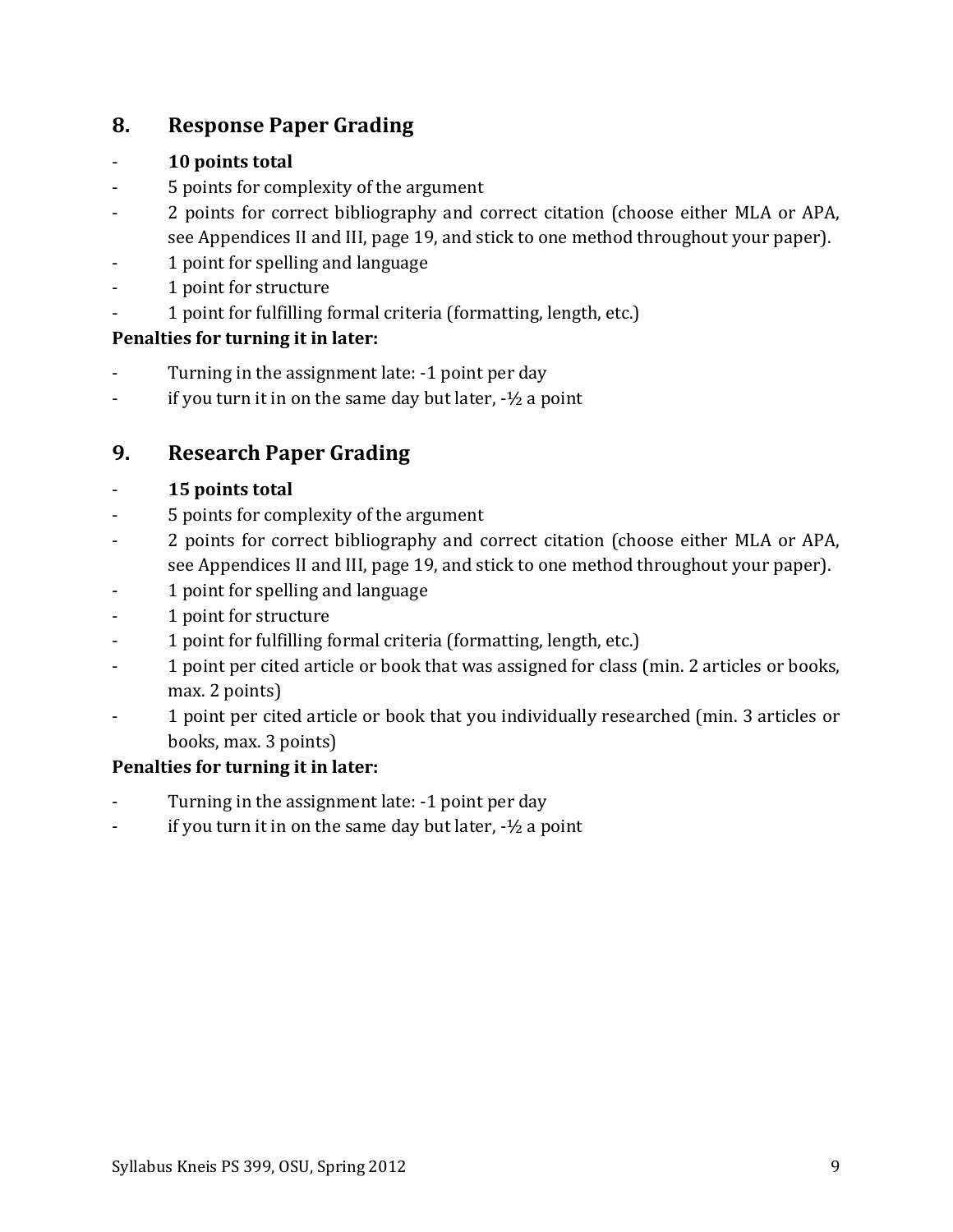# **8. Response Paper Grading**

## - **10 points total**

- 5 points for complexity of the argument
- 2 points for correct bibliography and correct citation (choose either MLA or APA, see Appendices II and III, page [19,](#page-18-0) and stick to one method throughout your paper).
- 1 point for spelling and language
- 1 point for structure
- 1 point for fulfilling formal criteria (formatting, length, etc.)

## **Penalties for turning it in later:**

- Turning in the assignment late: -1 point per day
- $\frac{1}{2}$  if you turn it in on the same day but later,  $-\frac{1}{2}$  a point

# **9. Research Paper Grading**

## - **15 points total**

- 5 points for complexity of the argument
- 2 points for correct bibliography and correct citation (choose either MLA or APA, see Appendices II and III, page [19,](#page-18-0) and stick to one method throughout your paper).
- 1 point for spelling and language
- 1 point for structure
- 1 point for fulfilling formal criteria (formatting, length, etc.)
- 1 point per cited article or book that was assigned for class (min. 2 articles or books, max. 2 points)
- 1 point per cited article or book that you individually researched (min. 3 articles or books, max. 3 points)

## **Penalties for turning it in later:**

- Turning in the assignment late: -1 point per day
- if you turn it in on the same day but later,  $-1/2$  a point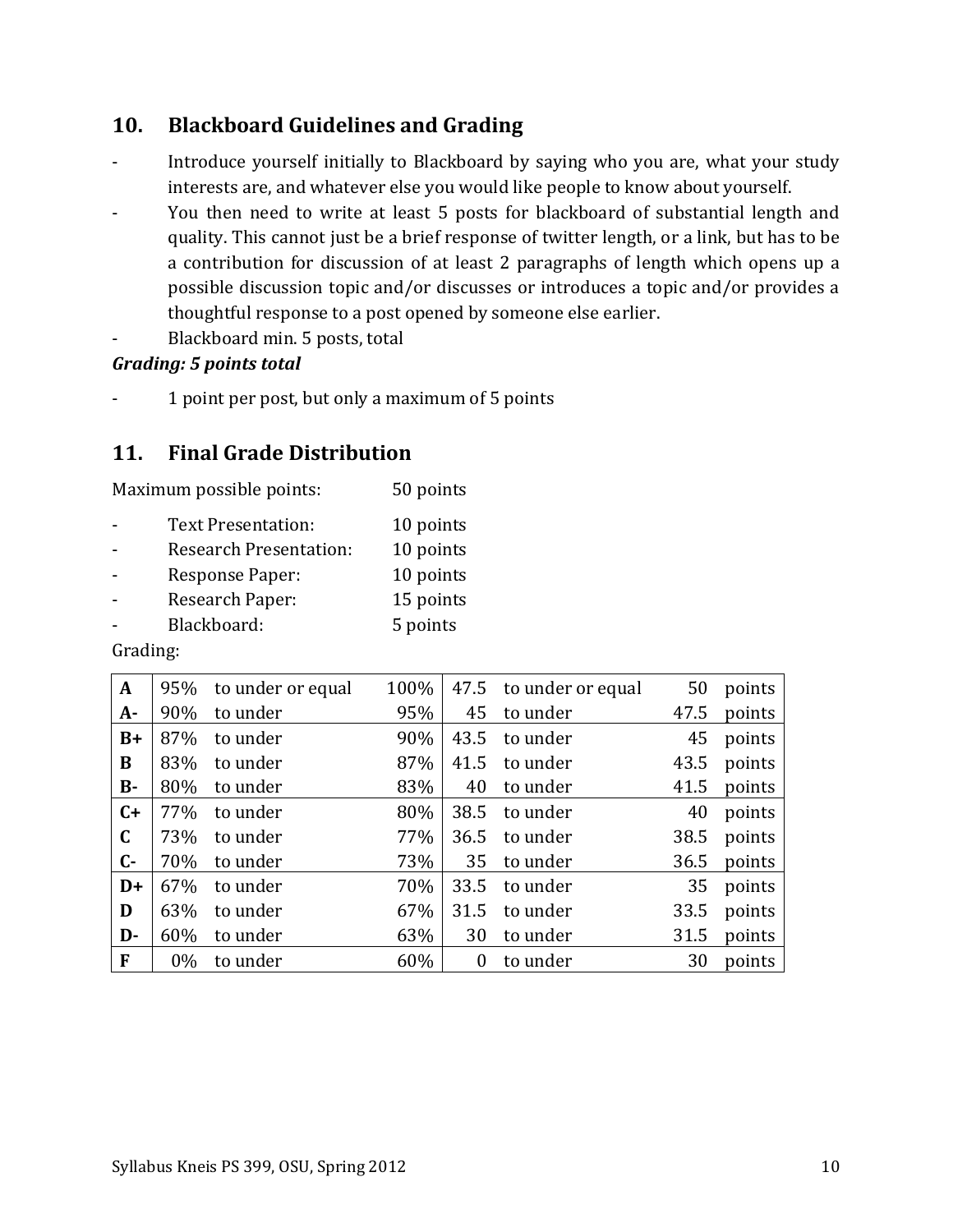# **10. Blackboard Guidelines and Grading**

- Introduce yourself initially to Blackboard by saying who you are, what your study interests are, and whatever else you would like people to know about yourself.
- You then need to write at least 5 posts for blackboard of substantial length and quality. This cannot just be a brief response of twitter length, or a link, but has to be a contribution for discussion of at least 2 paragraphs of length which opens up a possible discussion topic and/or discusses or introduces a topic and/or provides a thoughtful response to a post opened by someone else earlier.
- Blackboard min. 5 posts, total

## *Grading: 5 points total*

- 1 point per post, but only a maximum of 5 points

# **11. Final Grade Distribution**

| Maximum possible points: | 50 points |
|--------------------------|-----------|
|--------------------------|-----------|

| Text Presentation:            | 10 points |
|-------------------------------|-----------|
| <b>Research Presentation:</b> | 10 points |
| Response Paper:               | 10 points |
| Research Paper:               | 15 points |
| Blackboard:                   | 5 points  |

Grading:

| A            | 95%   | to under or equal | 100% | 47.5           | to under or equal | 50   | points |
|--------------|-------|-------------------|------|----------------|-------------------|------|--------|
| $A -$        | 90%   | to under          | 95%  | 45             | to under          | 47.5 | points |
| $B+$         | 87%   | to under          | 90%  | 43.5           | to under          | 45   | points |
| B            | 83%   | to under          | 87%  | 41.5           | to under          | 43.5 | points |
| $B -$        | 80%   | to under          | 83%  | 40             | to under          | 41.5 | points |
| $C+$         | 77%   | to under          | 80%  | 38.5           | to under          | 40   | points |
| $\mathbf C$  | 73%   | to under          | 77%  | 36.5           | to under          | 38.5 | points |
| $\mathsf{C}$ | 70%   | to under          | 73%  | 35             | to under          | 36.5 | points |
| $D+$         | 67%   | to under          | 70%  | 33.5           | to under          | 35   | points |
| D            | 63%   | to under          | 67%  | 31.5           | to under          | 33.5 | points |
| D-           | 60%   | to under          | 63%  | 30             | to under          | 31.5 | points |
| F            | $0\%$ | to under          | 60%  | $\overline{0}$ | to under          | 30   | points |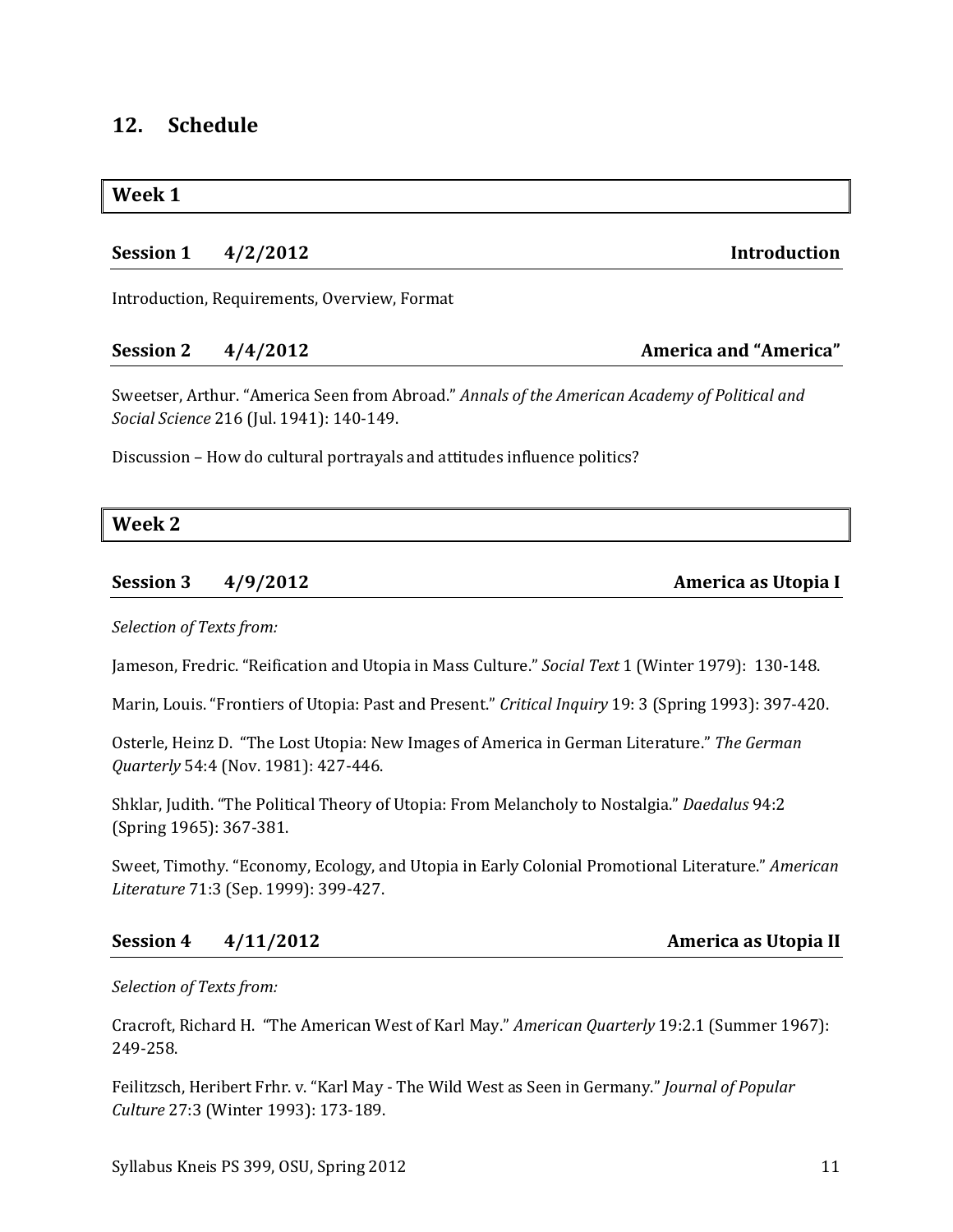## **12. Schedule**

#### **Week 1**

## **Session 1 4/2/2012 Introduction**

Introduction, Requirements, Overview, Format

#### **Session 2 4/4/2012 America and "America"**

Sweetser, Arthur. "America Seen from Abroad." *Annals of the American Academy of Political and Social Science* 216 (Jul. 1941): 140-149.

Discussion – How do cultural portrayals and attitudes influence politics?

| Week 2 |
|--------|
|        |
|        |
|        |

## **Session 3 4/9/2012 America as Utopia I**

## *Selection of Texts from:*

Jameson, Fredric. "Reification and Utopia in Mass Culture." *Social Text* 1 (Winter 1979): 130-148.

Marin, Louis. "Frontiers of Utopia: Past and Present." *Critical Inquiry* 19: 3 (Spring 1993): 397-420.

Osterle, Heinz D. "The Lost Utopia: New Images of America in German Literature." *The German Quarterly* 54:4 (Nov. 1981): 427-446.

Shklar, Judith. "The Political Theory of Utopia: From Melancholy to Nostalgia." *Daedalus* 94:2 (Spring 1965): 367-381.

Sweet, Timothy. "Economy, Ecology, and Utopia in Early Colonial Promotional Literature." *American Literature* 71:3 (Sep. 1999): 399-427.

## **Session 4 4/11/2012 America as Utopia II**

## *Selection of Texts from:*

Cracroft, Richard H. "The American West of Karl May." *American Quarterly* 19:2.1 (Summer 1967): 249-258.

Feilitzsch, Heribert Frhr. v. "Karl May - The Wild West as Seen in Germany." *Journal of Popular Culture* 27:3 (Winter 1993): 173-189.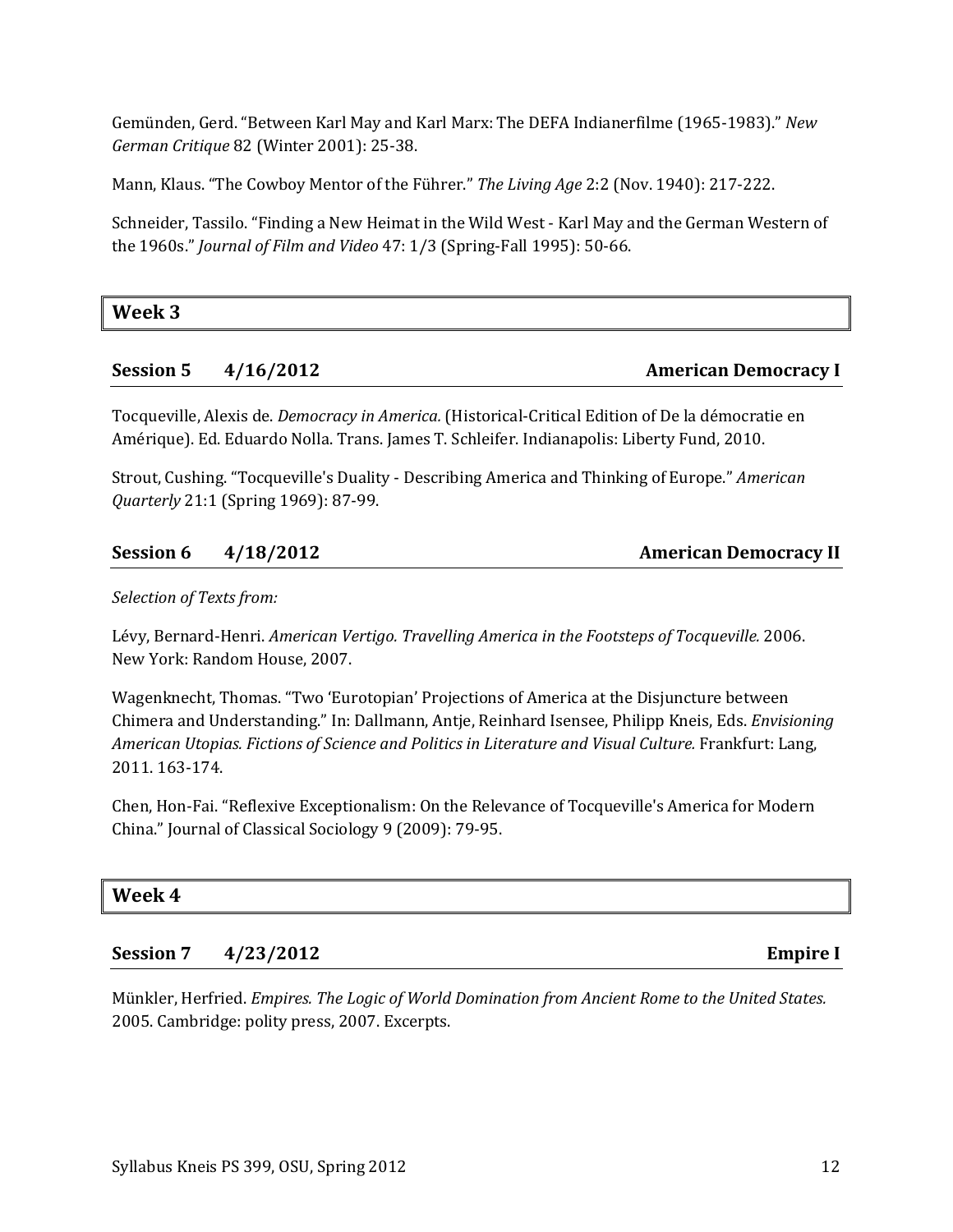Gemünden, Gerd. "Between Karl May and Karl Marx: The DEFA Indianerfilme (1965-1983)." *New German Critique* 82 (Winter 2001): 25-38.

Mann, Klaus. "The Cowboy Mentor of the Führer." *The Living Age* 2:2 (Nov. 1940): 217-222.

Schneider, Tassilo. "Finding a New Heimat in the Wild West - Karl May and the German Western of the 1960s." *Journal of Film and Video* 47: 1/3 (Spring-Fall 1995): 50-66.

**Week 3**

## **Session 5 4/16/2012 American Democracy I**

Tocqueville, Alexis de. *Democracy in America.* (Historical-Critical Edition of De la démocratie en Amérique). Ed. Eduardo Nolla. Trans. James T. Schleifer. Indianapolis: Liberty Fund, 2010.

Strout, Cushing. "Tocqueville's Duality - Describing America and Thinking of Europe." *American Quarterly* 21:1 (Spring 1969): 87-99.

| Session 6 4/18/2012 | <b>American Democracy II</b> |
|---------------------|------------------------------|

*Selection of Texts from:*

Lévy, Bernard-Henri. *American Vertigo. Travelling America in the Footsteps of Tocqueville.* 2006. New York: Random House, 2007.

Wagenknecht, Thomas. "Two 'Eurotopian' Projections of America at the Disjuncture between Chimera and Understanding." In: Dallmann, Antje, Reinhard Isensee, Philipp Kneis, Eds. *Envisioning American Utopias. Fictions of Science and Politics in Literature and Visual Culture.* Frankfurt: Lang, 2011. 163-174.

Chen, Hon-Fai. "Reflexive Exceptionalism: On the Relevance of Tocqueville's America for Modern China." Journal of Classical Sociology 9 (2009): 79-95.

## **Week 4**

**Session 7 4/23/2012 Empire I**

Münkler, Herfried. *Empires. The Logic of World Domination from Ancient Rome to the United States.* 2005. Cambridge: polity press, 2007. Excerpts.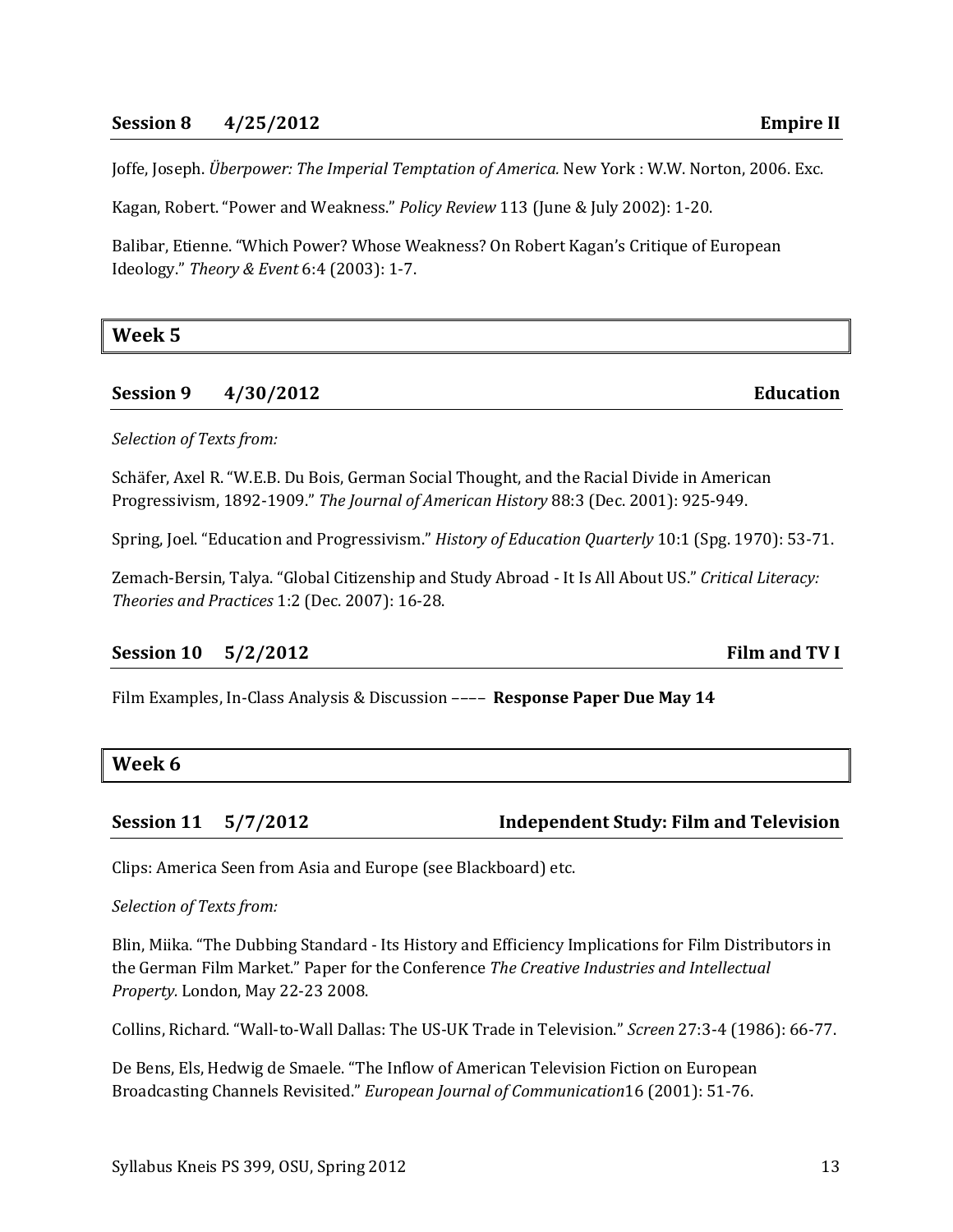#### **Session 8 4/25/2012 Empire II**

Joffe, Joseph. *Überpower: The Imperial Temptation of America.* New York : W.W. Norton, 2006. Exc.

Kagan, Robert. "Power and Weakness." *Policy Review* 113 (June & July 2002): 1-20.

Balibar, Etienne. "Which Power? Whose Weakness? On Robert Kagan's Critique of European Ideology." *Theory & Event* 6:4 (2003): 1-7.

**Week 5**

#### **Session 9 4/30/2012 Education**

*Selection of Texts from:*

Schäfer, Axel R. "W.E.B. Du Bois, German Social Thought, and the Racial Divide in American Progressivism, 1892-1909." *The Journal of American History* 88:3 (Dec. 2001): 925-949.

Spring, Joel. "Education and Progressivism." *History of Education Quarterly* 10:1 (Spg. 1970): 53-71.

Zemach-Bersin, Talya. "Global Citizenship and Study Abroad - It Is All About US." *Critical Literacy: Theories and Practices* 1:2 (Dec. 2007): 16-28.

#### **Session 10 5/2/2012 Film and TV I**

Film Examples, In-Class Analysis & Discussion –––– **Response Paper Due May 14**

#### **Week 6**

#### **Session 11 5/7/2012 Independent Study: Film and Television**

Clips: America Seen from Asia and Europe (see Blackboard) etc.

#### *Selection of Texts from:*

Blin, Miika. "The Dubbing Standard - Its History and Efficiency Implications for Film Distributors in the German Film Market." Paper for the Conference *The Creative Industries and Intellectual Property.* London, May 22-23 2008.

Collins, Richard. "Wall-to-Wall Dallas: The US-UK Trade in Television." *Screen* 27:3-4 (1986): 66-77.

De Bens, Els, Hedwig de Smaele. "The Inflow of American Television Fiction on European Broadcasting Channels Revisited." *European Journal of Communication*16 (2001): 51-76.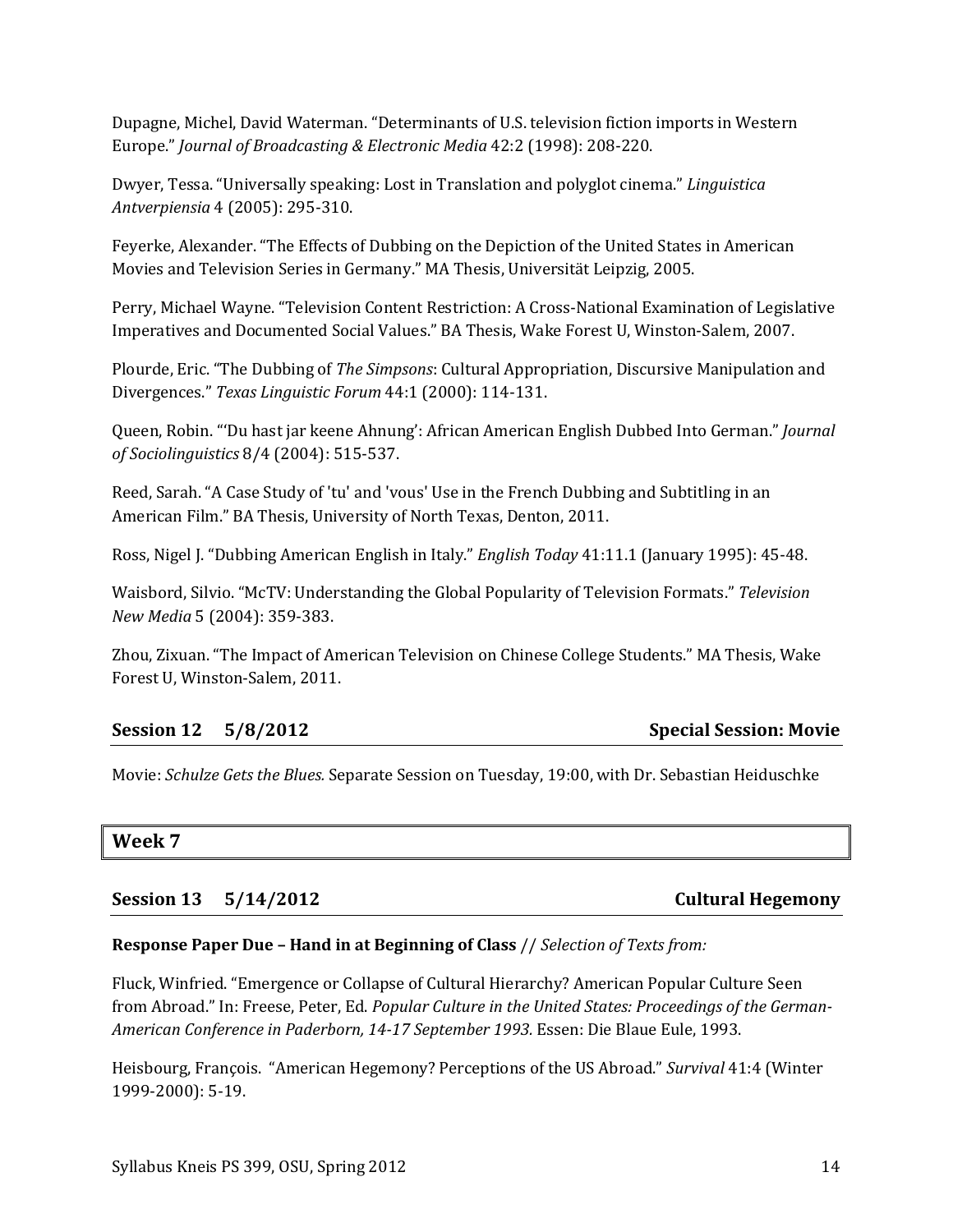Dupagne, Michel, David Waterman. "Determinants of U.S. television fiction imports in Western Europe." *Journal of Broadcasting & Electronic Media* 42:2 (1998): 208-220.

Dwyer, Tessa. "Universally speaking: Lost in Translation and polyglot cinema." *Linguistica Antverpiensia* 4 (2005): 295-310.

Feyerke, Alexander. "The Effects of Dubbing on the Depiction of the United States in American Movies and Television Series in Germany." MA Thesis, Universität Leipzig, 2005.

Perry, Michael Wayne. "Television Content Restriction: A Cross-National Examination of Legislative Imperatives and Documented Social Values." BA Thesis, Wake Forest U, Winston-Salem, 2007.

Plourde, Eric. "The Dubbing of *The Simpsons*: Cultural Appropriation, Discursive Manipulation and Divergences." *Texas Linguistic Forum* 44:1 (2000): 114-131.

Queen, Robin. "'Du hast jar keene Ahnung': African American English Dubbed Into German." *Journal of Sociolinguistics* 8/4 (2004): 515-537.

Reed, Sarah. "A Case Study of 'tu' and 'vous' Use in the French Dubbing and Subtitling in an American Film." BA Thesis, University of North Texas, Denton, 2011.

Ross, Nigel J. "Dubbing American English in Italy." *English Today* 41:11.1 (January 1995): 45-48.

Waisbord, Silvio. "McTV: Understanding the Global Popularity of Television Formats." *Television New Media* 5 (2004): 359-383.

Zhou, Zixuan. "The Impact of American Television on Chinese College Students." MA Thesis, Wake Forest U, Winston-Salem, 2011.

## **Session 12 5/8/2012 Special Session: Movie**

Movie: *Schulze Gets the Blues.* Separate Session on Tuesday, 19:00, with Dr. Sebastian Heiduschke

## **Week 7**

**Session 13 5/14/2012 Cultural Hegemony** 

#### **Response Paper Due – Hand in at Beginning of Class** // *Selection of Texts from:*

Fluck, Winfried. "Emergence or Collapse of Cultural Hierarchy? American Popular Culture Seen from Abroad." In: Freese, Peter, Ed. *Popular Culture in the United States: Proceedings of the German-American Conference in Paderborn, 14-17 September 1993.* Essen: Die Blaue Eule, 1993.

Heisbourg, François. "American Hegemony? Perceptions of the US Abroad." *Survival* 41:4 (Winter 1999-2000): 5-19.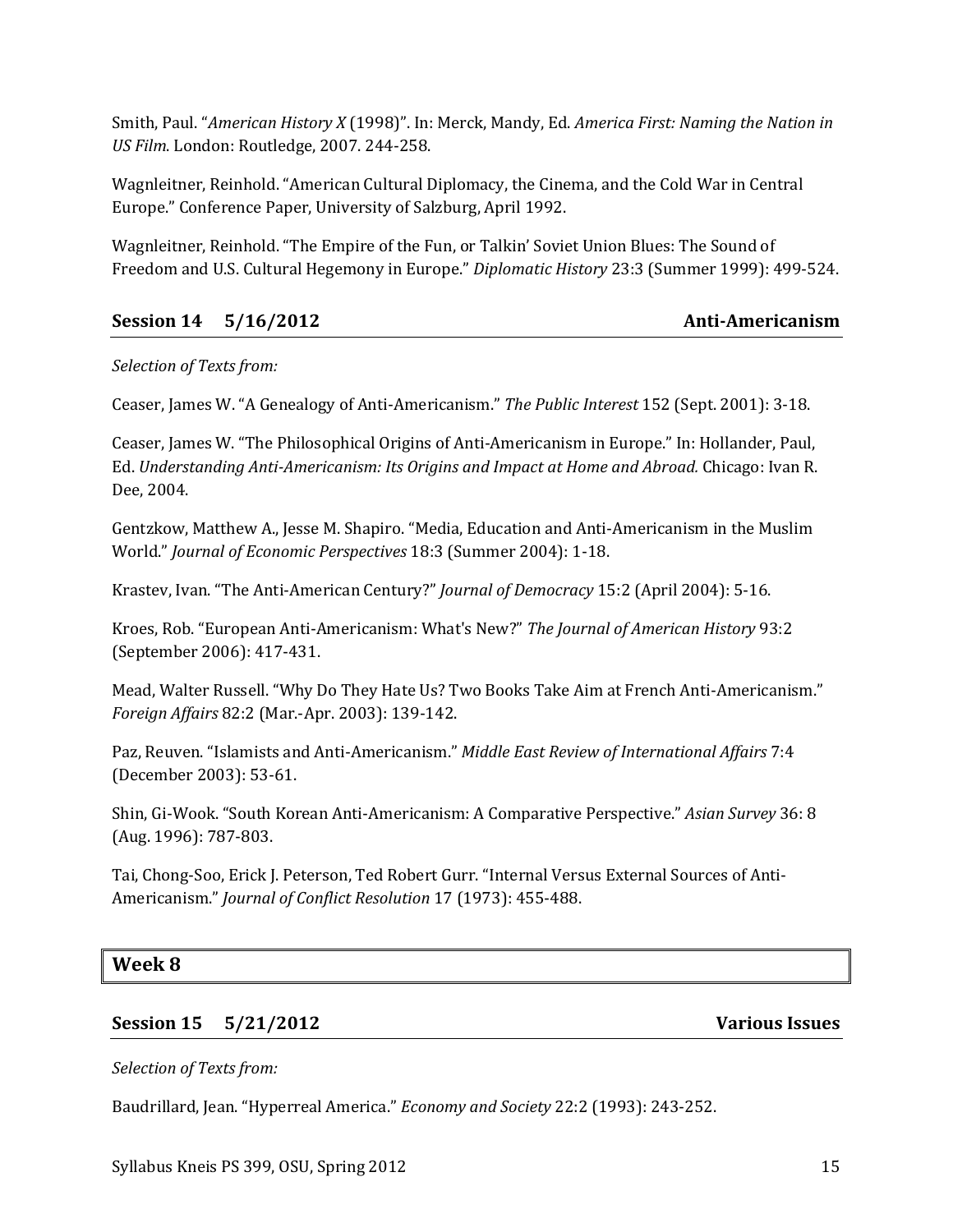Smith, Paul. "*American History X* (1998)". In: Merck, Mandy, Ed. *America First: Naming the Nation in US Film*. London: Routledge, 2007. 244-258.

Wagnleitner, Reinhold. "American Cultural Diplomacy, the Cinema, and the Cold War in Central Europe." Conference Paper, University of Salzburg, April 1992.

Wagnleitner, Reinhold. "The Empire of the Fun, or Talkin' Soviet Union Blues: The Sound of Freedom and U.S. Cultural Hegemony in Europe." *Diplomatic History* 23:3 (Summer 1999): 499-524.

## **Session 14 5/16/2012 Anti-Americanism**

#### *Selection of Texts from:*

Ceaser, James W. "A Genealogy of Anti-Americanism." *The Public Interest* 152 (Sept. 2001): 3-18.

Ceaser, James W. "The Philosophical Origins of Anti-Americanism in Europe." In: Hollander, Paul, Ed. *Understanding Anti-Americanism: Its Origins and Impact at Home and Abroad.* Chicago: Ivan R. Dee, 2004.

Gentzkow, Matthew A., Jesse M. Shapiro. "Media, Education and Anti-Americanism in the Muslim World." *Journal of Economic Perspectives* 18:3 (Summer 2004): 1-18.

Krastev, Ivan. "The Anti-American Century?" *Journal of Democracy* 15:2 (April 2004): 5-16.

Kroes, Rob. "European Anti-Americanism: What's New?" *The Journal of American History* 93:2 (September 2006): 417-431.

Mead, Walter Russell. "Why Do They Hate Us? Two Books Take Aim at French Anti-Americanism." *Foreign Affairs* 82:2 (Mar.-Apr. 2003): 139-142.

Paz, Reuven. "Islamists and Anti-Americanism." *Middle East Review of International Affairs* 7:4 (December 2003): 53-61.

Shin, Gi-Wook. "South Korean Anti-Americanism: A Comparative Perspective." *Asian Survey* 36: 8 (Aug. 1996): 787-803.

Tai, Chong-Soo, Erick J. Peterson, Ted Robert Gurr. "Internal Versus External Sources of Anti-Americanism." *Journal of Conflict Resolution* 17 (1973): 455-488.

## **Week 8**

## **Session 15 5/21/2012 Various Issues**

#### *Selection of Texts from:*

Baudrillard, Jean. "Hyperreal America." *Economy and Society* 22:2 (1993): 243-252.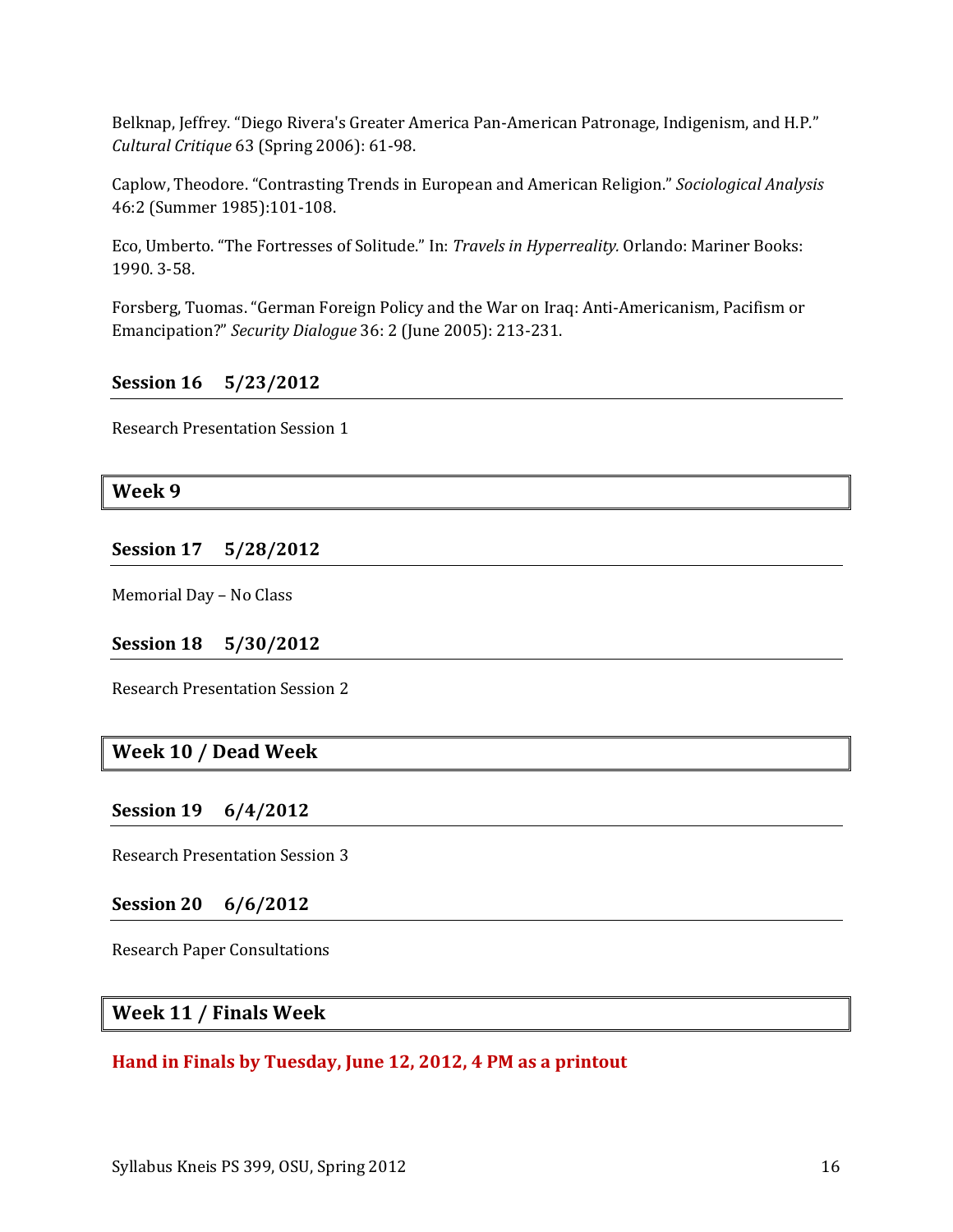Belknap, Jeffrey. "Diego Rivera's Greater America Pan-American Patronage, Indigenism, and H.P." *Cultural Critique* 63 (Spring 2006): 61-98.

Caplow, Theodore. "Contrasting Trends in European and American Religion." *Sociological Analysis* 46:2 (Summer 1985):101-108.

Eco, Umberto. "The Fortresses of Solitude." In: *Travels in Hyperreality.* Orlando: Mariner Books: 1990. 3-58.

Forsberg, Tuomas. "German Foreign Policy and the War on Iraq: Anti-Americanism, Pacifism or Emancipation?" *Security Dialogue* 36: 2 (June 2005): 213-231.

## **Session 16 5/23/2012**

Research Presentation Session 1

### **Week 9**

### **Session 17 5/28/2012**

Memorial Day – No Class

#### **Session 18 5/30/2012**

Research Presentation Session 2

## **Week 10 / Dead Week**

#### **Session 19 6/4/2012**

Research Presentation Session 3

#### **Session 20 6/6/2012**

Research Paper Consultations

## **Week 11 / Finals Week**

#### **Hand in Finals by Tuesday, June 12, 2012, 4 PM as a printout**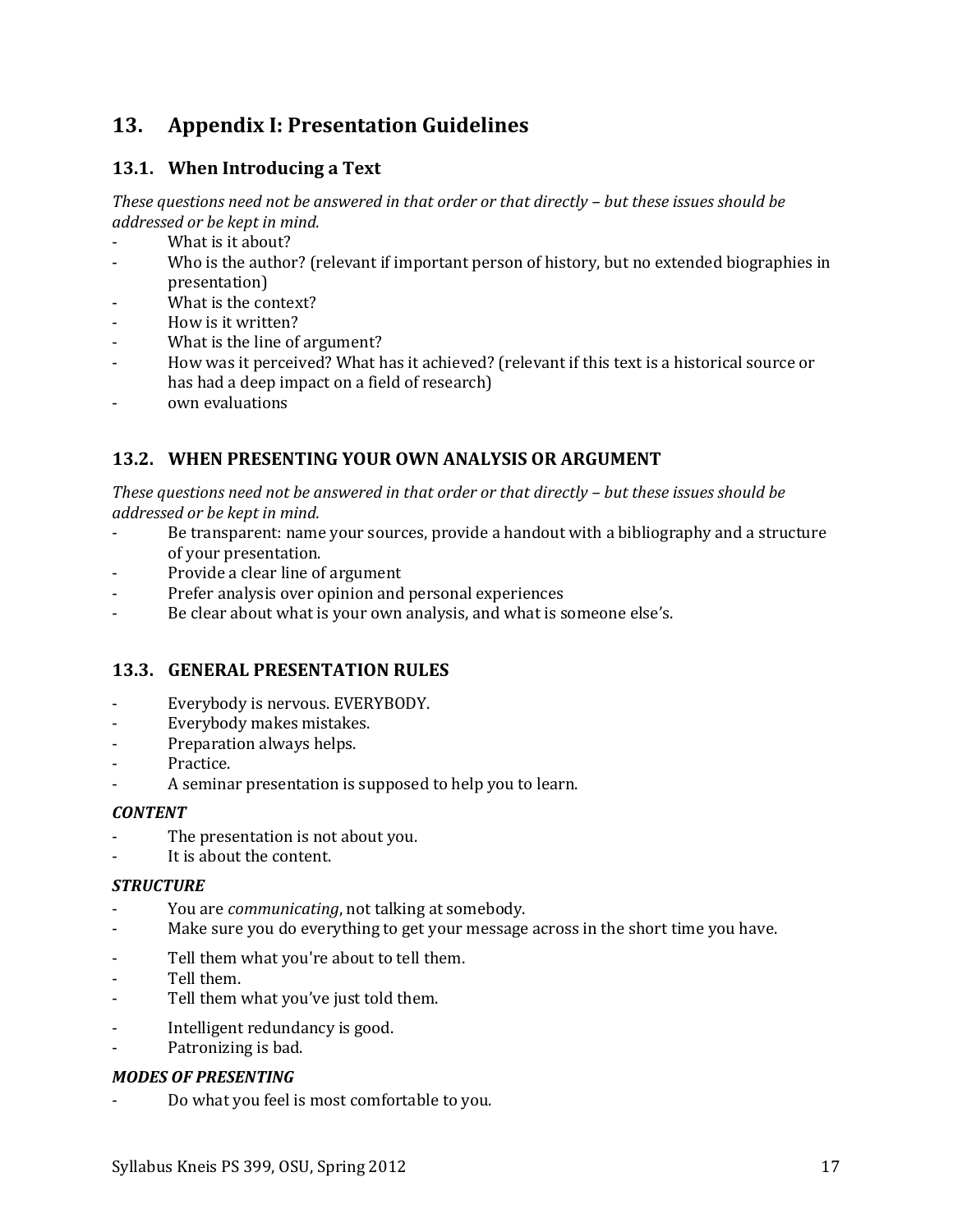# <span id="page-16-0"></span>**13. Appendix I: Presentation Guidelines**

## **13.1. When Introducing a Text**

*These questions need not be answered in that order or that directly – but these issues should be addressed or be kept in mind.*

- What is it about?
- Who is the author? (relevant if important person of history, but no extended biographies in presentation)
- What is the context?
- How is it written?
- What is the line of argument?
- How was it perceived? What has it achieved? (relevant if this text is a historical source or has had a deep impact on a field of research)
- own evaluations

## **13.2. WHEN PRESENTING YOUR OWN ANALYSIS OR ARGUMENT**

*These questions need not be answered in that order or that directly – but these issues should be addressed or be kept in mind.*

- Be transparent: name your sources, provide a handout with a bibliography and a structure of your presentation.
- Provide a clear line of argument
- Prefer analysis over opinion and personal experiences
- Be clear about what is your own analysis, and what is someone else's.

## **13.3. GENERAL PRESENTATION RULES**

- Everybody is nervous. EVERYBODY.
- Everybody makes mistakes.
- Preparation always helps.
- Practice.
- A seminar presentation is supposed to help you to learn.

## *CONTENT*

- The presentation is not about you.
- It is about the content.

#### *STRUCTURE*

- You are *communicating*, not talking at somebody.
- Make sure you do everything to get your message across in the short time you have.
- Tell them what you're about to tell them.
- Tell them.
- Tell them what you've just told them.
- Intelligent redundancy is good.
- Patronizing is bad.

#### *MODES OF PRESENTING*

- Do what you feel is most comfortable to you.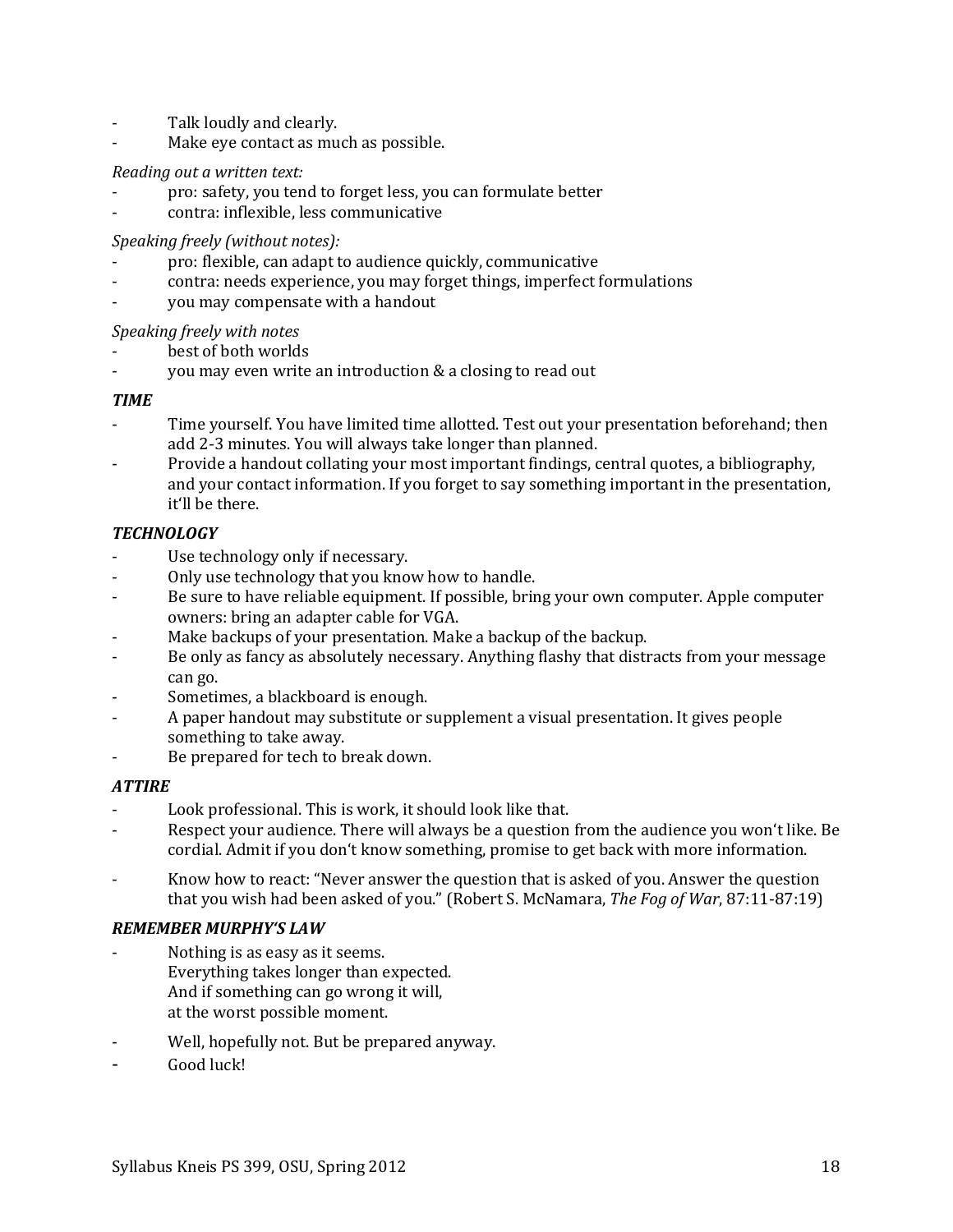- Talk loudly and clearly.
- Make eye contact as much as possible.

#### *Reading out a written text:*

- pro: safety, you tend to forget less, you can formulate better
- contra: inflexible, less communicative

#### *Speaking freely (without notes):*

- pro: flexible, can adapt to audience quickly, communicative
- contra: needs experience, you may forget things, imperfect formulations
- you may compensate with a handout

#### *Speaking freely with notes*

- best of both worlds
- you may even write an introduction & a closing to read out

#### *TIME*

- Time yourself. You have limited time allotted. Test out your presentation beforehand; then add 2-3 minutes. You will always take longer than planned.
- Provide a handout collating your most important findings, central quotes, a bibliography, and your contact information. If you forget to say something important in the presentation, it'll be there.

#### *TECHNOLOGY*

- Use technology only if necessary.
- Only use technology that you know how to handle.
- Be sure to have reliable equipment. If possible, bring your own computer. Apple computer owners: bring an adapter cable for VGA.
- Make backups of your presentation. Make a backup of the backup.
- Be only as fancy as absolutely necessary. Anything flashy that distracts from your message can go.
- Sometimes, a blackboard is enough.
- A paper handout may substitute or supplement a visual presentation. It gives people something to take away.
- Be prepared for tech to break down.

#### *ATTIRE*

- Look professional. This is work, it should look like that.
- Respect your audience. There will always be a question from the audience you won't like. Be cordial. Admit if you don't know something, promise to get back with more information.
- Know how to react: "Never answer the question that is asked of you. Answer the question that you wish had been asked of you." (Robert S. McNamara, *The Fog of War*, 87:11-87:19)

#### *REMEMBER MURPHY'S LAW*

- Nothing is as easy as it seems. Everything takes longer than expected. And if something can go wrong it will, at the worst possible moment.
- Well, hopefully not. But be prepared anyway.
- Good luck!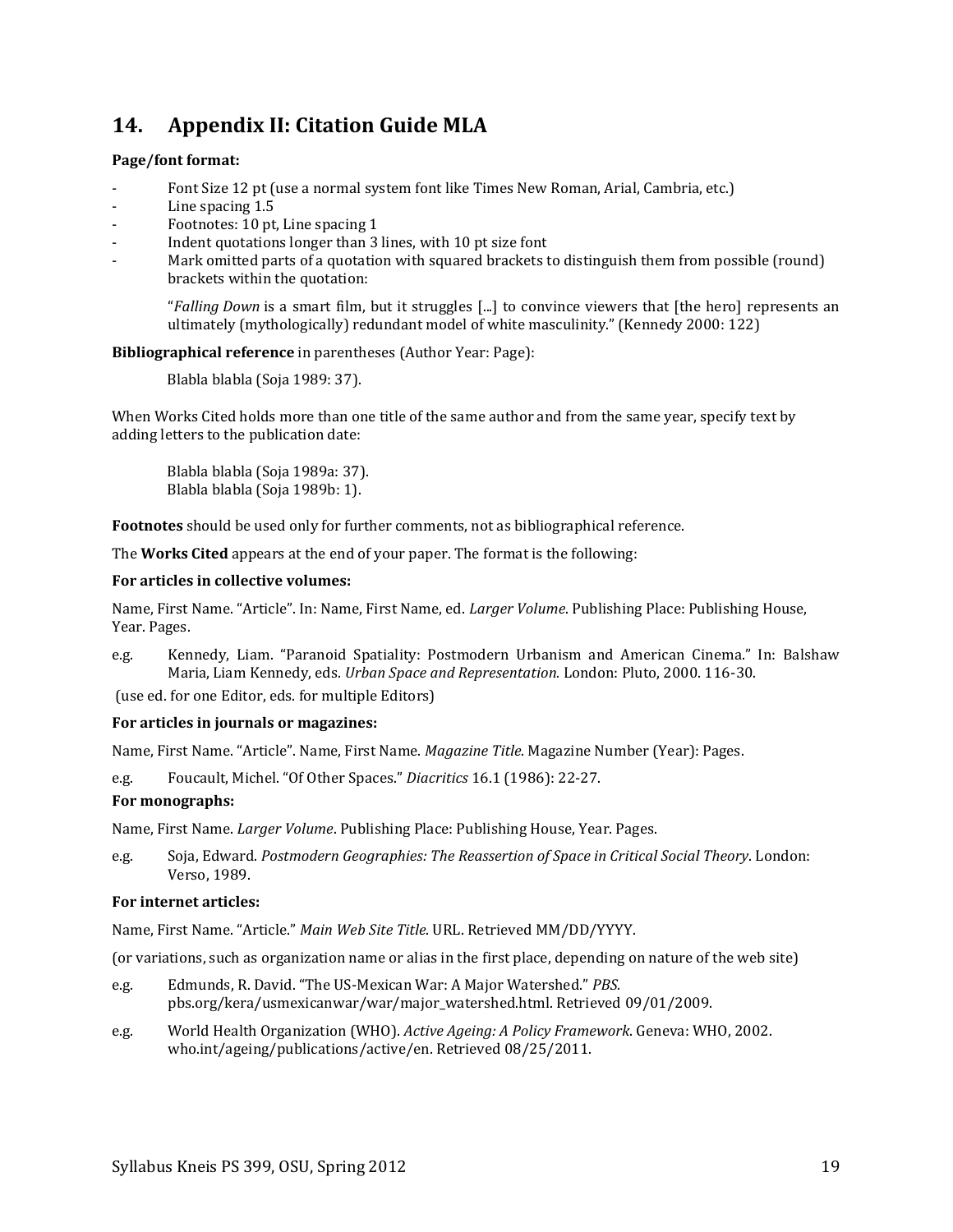# <span id="page-18-0"></span>**14. Appendix II: Citation Guide MLA**

#### **Page/font format:**

- Font Size 12 pt (use a normal system font like Times New Roman, Arial, Cambria, etc.)
- Line spacing 1.5
- Footnotes: 10 pt, Line spacing 1
- Indent quotations longer than 3 lines, with 10 pt size font
- Mark omitted parts of a quotation with squared brackets to distinguish them from possible (round) brackets within the quotation:

"*Falling Down* is a smart film, but it struggles [...] to convince viewers that [the hero] represents an ultimately (mythologically) redundant model of white masculinity." (Kennedy 2000: 122)

#### **Bibliographical reference** in parentheses (Author Year: Page):

Blabla blabla (Soja 1989: 37).

When Works Cited holds more than one title of the same author and from the same year, specify text by adding letters to the publication date:

Blabla blabla (Soja 1989a: 37). Blabla blabla (Soja 1989b: 1).

**Footnotes** should be used only for further comments, not as bibliographical reference.

The **Works Cited** appears at the end of your paper. The format is the following:

#### **For articles in collective volumes:**

Name, First Name. "Article". In: Name, First Name, ed. *Larger Volume*. Publishing Place: Publishing House, Year. Pages.

e.g. Kennedy, Liam. "Paranoid Spatiality: Postmodern Urbanism and American Cinema." In: Balshaw Maria, Liam Kennedy, eds. *Urban Space and Representation.* London: Pluto, 2000. 116-30.

(use ed. for one Editor, eds. for multiple Editors)

#### **For articles in journals or magazines:**

Name, First Name. "Article". Name, First Name. *Magazine Title*. Magazine Number (Year): Pages.

e.g. Foucault, Michel. "Of Other Spaces." *Diacritics* 16.1 (1986): 22-27.

#### **For monographs:**

Name, First Name. *Larger Volume*. Publishing Place: Publishing House, Year. Pages.

e.g. Soja, Edward. *Postmodern Geographies: The Reassertion of Space in Critical Social Theory*. London: Verso, 1989.

#### **For internet articles:**

Name, First Name. "Article." *Main Web Site Title*. URL. Retrieved MM/DD/YYYY.

(or variations, such as organization name or alias in the first place, depending on nature of the web site)

- e.g. Edmunds, R. David. "The US-Mexican War: A Major Watershed." *PBS.*  pbs.org/kera/usmexicanwar/war/major\_watershed.html. Retrieved 09/01/2009.
- e.g. World Health Organization (WHO). *Active Ageing: A Policy Framework*. Geneva: WHO, 2002. who.int/ageing/publications/active/en. Retrieved 08/25/2011.